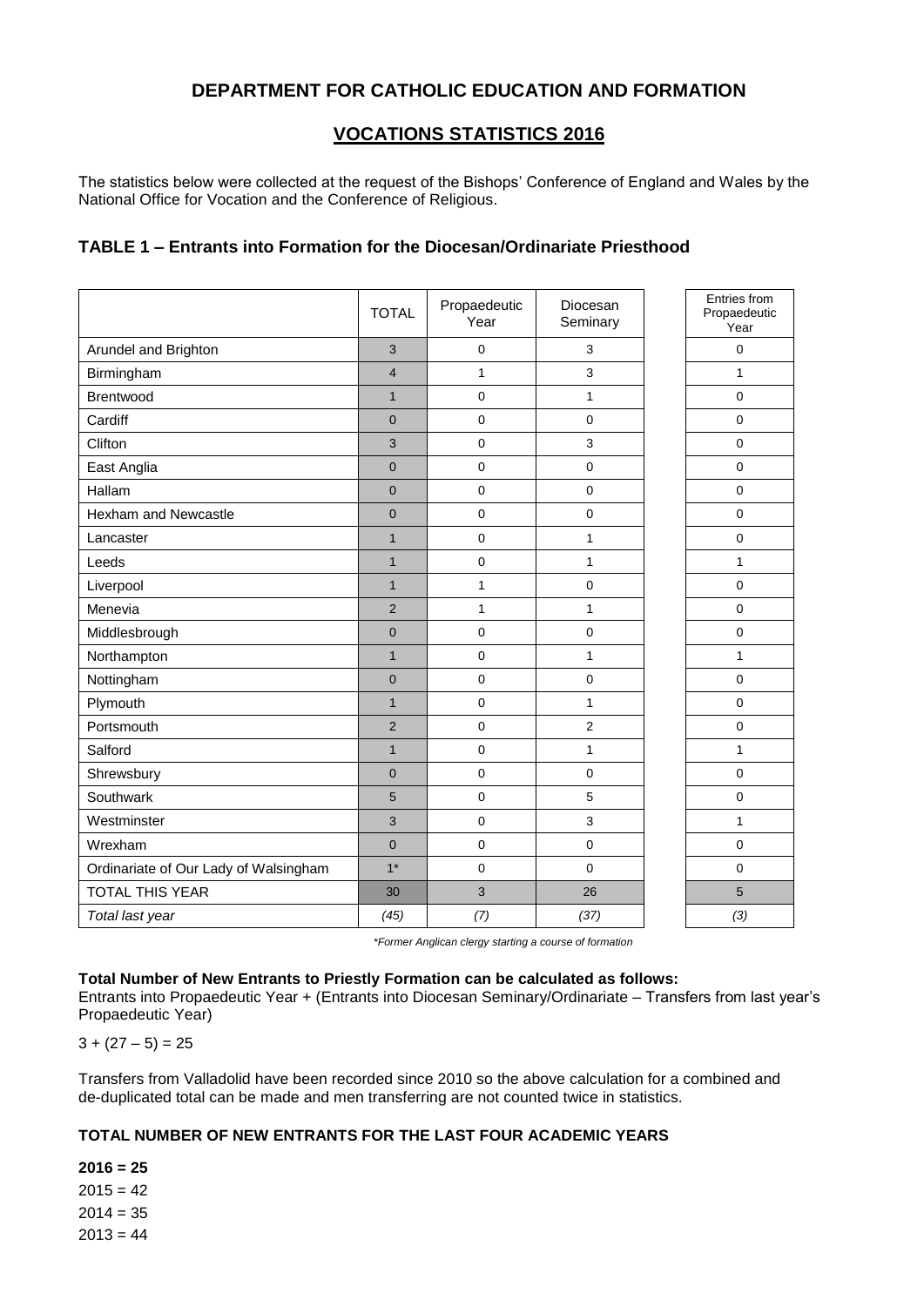# **DEPARTMENT FOR CATHOLIC EDUCATION AND FORMATION**

# **VOCATIONS STATISTICS 2016**

The statistics below were collected at the request of the Bishops' Conference of England and Wales by the National Office for Vocation and the Conference of Religious.

### **TABLE 1 – Entrants into Formation for the Diocesan/Ordinariate Priesthood**

|                                       | <b>TOTAL</b>   | Propaedeutic<br>Year | Diocesan<br>Seminary | Entries from<br>Propaedeutic<br>Year |
|---------------------------------------|----------------|----------------------|----------------------|--------------------------------------|
| Arundel and Brighton                  | 3              | 0                    | 3                    | $\Omega$                             |
| Birmingham                            | $\overline{4}$ | $\mathbf{1}$         | 3                    | $\mathbf{1}$                         |
| Brentwood                             | $\mathbf{1}$   | $\mathbf 0$          | $\mathbf{1}$         | $\Omega$                             |
| Cardiff                               | $\overline{0}$ | $\mathbf 0$          | $\mathbf 0$          | $\mathbf 0$                          |
| Clifton                               | 3              | $\pmb{0}$            | 3                    | $\pmb{0}$                            |
| East Anglia                           | $\overline{0}$ | $\Omega$             | $\Omega$             | $\Omega$                             |
| Hallam                                | $\mathbf 0$    | $\mathsf 0$          | $\mathsf 0$          | $\mathbf 0$                          |
| Hexham and Newcastle                  | $\overline{0}$ | $\mathbf 0$          | $\mathbf{0}$         | $\mathbf 0$                          |
| Lancaster                             | $\mathbf{1}$   | $\mathbf 0$          | $\mathbf{1}$         | $\mathbf 0$                          |
| Leeds                                 | $\mathbf{1}$   | $\pmb{0}$            | $\mathbf{1}$         | $\mathbf{1}$                         |
| Liverpool                             | $\mathbf{1}$   | $\mathbf{1}$         | $\mathbf 0$          | $\mathbf 0$                          |
| Menevia                               | $\overline{2}$ | $\mathbf{1}$         | $\mathbf{1}$         | $\mathbf 0$                          |
| Middlesbrough                         | $\mathbf 0$    | $\pmb{0}$            | $\pmb{0}$            | $\pmb{0}$                            |
| Northampton                           | $\mathbf{1}$   | 0                    | $\mathbf{1}$         | $\mathbf{1}$                         |
| Nottingham                            | $\mathbf 0$    | $\pmb{0}$            | $\pmb{0}$            | $\mathbf 0$                          |
| Plymouth                              | $\mathbf{1}$   | $\mathbf 0$          | $\mathbf{1}$         | $\mathbf 0$                          |
| Portsmouth                            | $\overline{2}$ | $\mathbf 0$          | $\overline{2}$       | $\mathbf 0$                          |
| Salford                               | $\mathbf{1}$   | 0                    | $\mathbf{1}$         | $\mathbf{1}$                         |
| Shrewsbury                            | $\overline{0}$ | $\mathbf 0$          | $\pmb{0}$            | $\mathbf 0$                          |
| Southwark                             | 5              | $\mathbf 0$          | 5                    | $\mathbf 0$                          |
| Westminster                           | 3              | $\pmb{0}$            | 3                    | $\mathbf{1}$                         |
| Wrexham                               | $\overline{0}$ | $\mathbf 0$          | $\mathbf 0$          | $\mathbf 0$                          |
| Ordinariate of Our Lady of Walsingham | $1*$           | $\pmb{0}$            | $\pmb{0}$            | $\mathbf 0$                          |
| <b>TOTAL THIS YEAR</b>                | 30             | 3                    | 26                   | $\overline{5}$                       |
| Total last year                       | (45)           | (7)                  | (37)                 | (3)                                  |

*\*Former Anglican clergy starting a course of formation*

#### **Total Number of New Entrants to Priestly Formation can be calculated as follows:**

Entrants into Propaedeutic Year + (Entrants into Diocesan Seminary/Ordinariate – Transfers from last year's Propaedeutic Year)

 $3 + (27 - 5) = 25$ 

Transfers from Valladolid have been recorded since 2010 so the above calculation for a combined and de-duplicated total can be made and men transferring are not counted twice in statistics.

#### **TOTAL NUMBER OF NEW ENTRANTS FOR THE LAST FOUR ACADEMIC YEARS**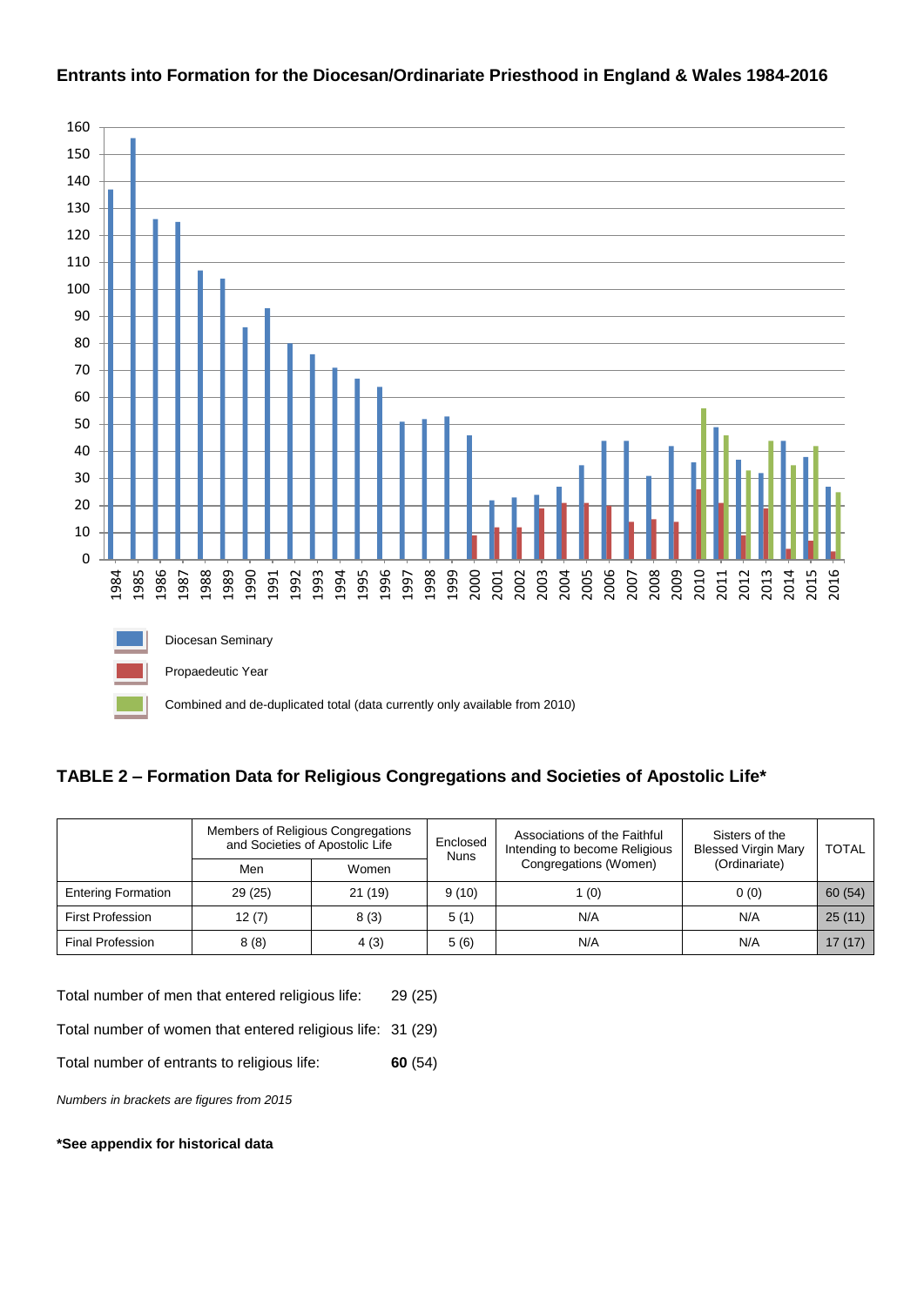

#### **Entrants into Formation for the Diocesan/Ordinariate Priesthood in England & Wales 1984-2016**

## **TABLE 2 – Formation Data for Religious Congregations and Societies of Apostolic Life\***

|                           | Members of Religious Congregations<br>and Societies of Apostolic Life |        | Enclosed<br><b>Nuns</b> | Associations of the Faithful<br>Intending to become Religious | Sisters of the<br><b>Blessed Virgin Mary</b> | <b>TOTAL</b> |
|---------------------------|-----------------------------------------------------------------------|--------|-------------------------|---------------------------------------------------------------|----------------------------------------------|--------------|
|                           | Men                                                                   | Women  |                         | Congregations (Women)                                         | (Ordinariate)                                |              |
| <b>Entering Formation</b> | 29(25)                                                                | 21(19) | 9(10)                   | 1 $(0)$                                                       | 0(0)                                         | 60(54)       |
| <b>First Profession</b>   | 12(7)                                                                 | 8(3)   | 5(1)                    | N/A                                                           | N/A                                          | 25(11)       |
| <b>Final Profession</b>   | 8(8)                                                                  | 4(3)   | 5(6)                    | N/A                                                           | N/A                                          | 17(17)       |

Total number of men that entered religious life: 29 (25)

Total number of women that entered religious life: 31 (29)

Total number of entrants to religious life: **60** (54)

*Numbers in brackets are figures from 2015*

#### **\*See appendix for historical data**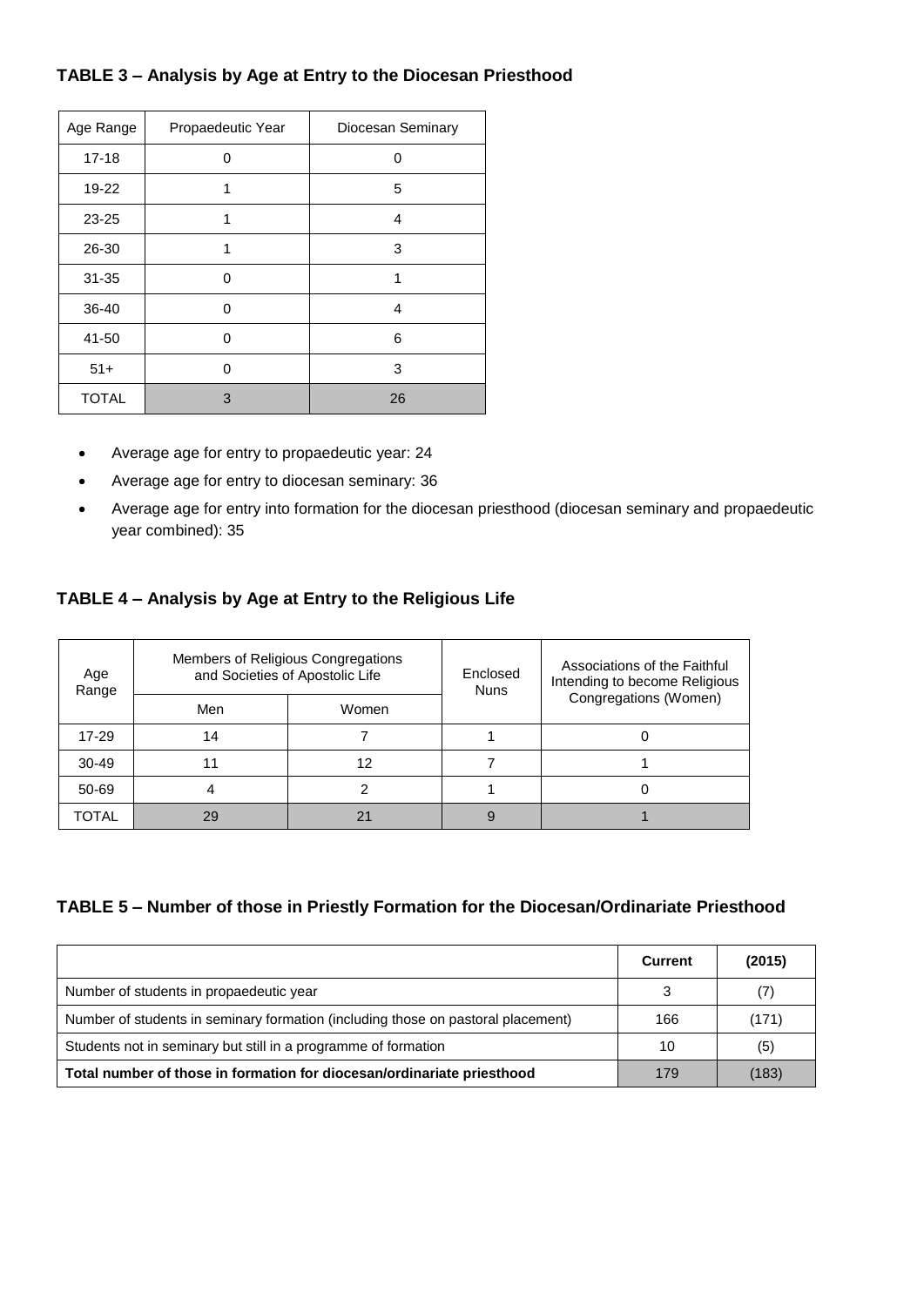## **TABLE 3 – Analysis by Age at Entry to the Diocesan Priesthood**

| Age Range    | Propaedeutic Year | Diocesan Seminary |
|--------------|-------------------|-------------------|
| $17 - 18$    | O                 | U                 |
| 19-22        | 1                 | 5                 |
| 23-25        | 1                 | 4                 |
| 26-30        | 1                 | 3                 |
| $31 - 35$    | $\Omega$          | 1                 |
| 36-40        | 0                 | 4                 |
| 41-50        | 0                 | 6                 |
| $51+$        | ∩                 | 3                 |
| <b>TOTAL</b> | 3                 | 26                |

- Average age for entry to propaedeutic year: 24
- Average age for entry to diocesan seminary: 36
- Average age for entry into formation for the diocesan priesthood (diocesan seminary and propaedeutic year combined): 35

## **TABLE 4 – Analysis by Age at Entry to the Religious Life**

| Age<br>Range | Members of Religious Congregations<br>and Societies of Apostolic Life |       | Enclosed<br><b>Nuns</b> | Associations of the Faithful<br>Intending to become Religious |  |
|--------------|-----------------------------------------------------------------------|-------|-------------------------|---------------------------------------------------------------|--|
|              | Men                                                                   | Women |                         | Congregations (Women)                                         |  |
| 17-29        | 14                                                                    |       |                         |                                                               |  |
| $30 - 49$    | 11                                                                    | 12    |                         |                                                               |  |
| 50-69        | 4                                                                     |       |                         |                                                               |  |
| TOTAL        | 29                                                                    | 21    |                         |                                                               |  |

## **TABLE 5 – Number of those in Priestly Formation for the Diocesan/Ordinariate Priesthood**

|                                                                                  | <b>Current</b> | (2015) |
|----------------------------------------------------------------------------------|----------------|--------|
| Number of students in propaedeutic year                                          | 3              | (7)    |
| Number of students in seminary formation (including those on pastoral placement) | 166            | (171)  |
| Students not in seminary but still in a programme of formation                   | 10             | (5)    |
| Total number of those in formation for diocesan/ordinariate priesthood           | 179            | (183)  |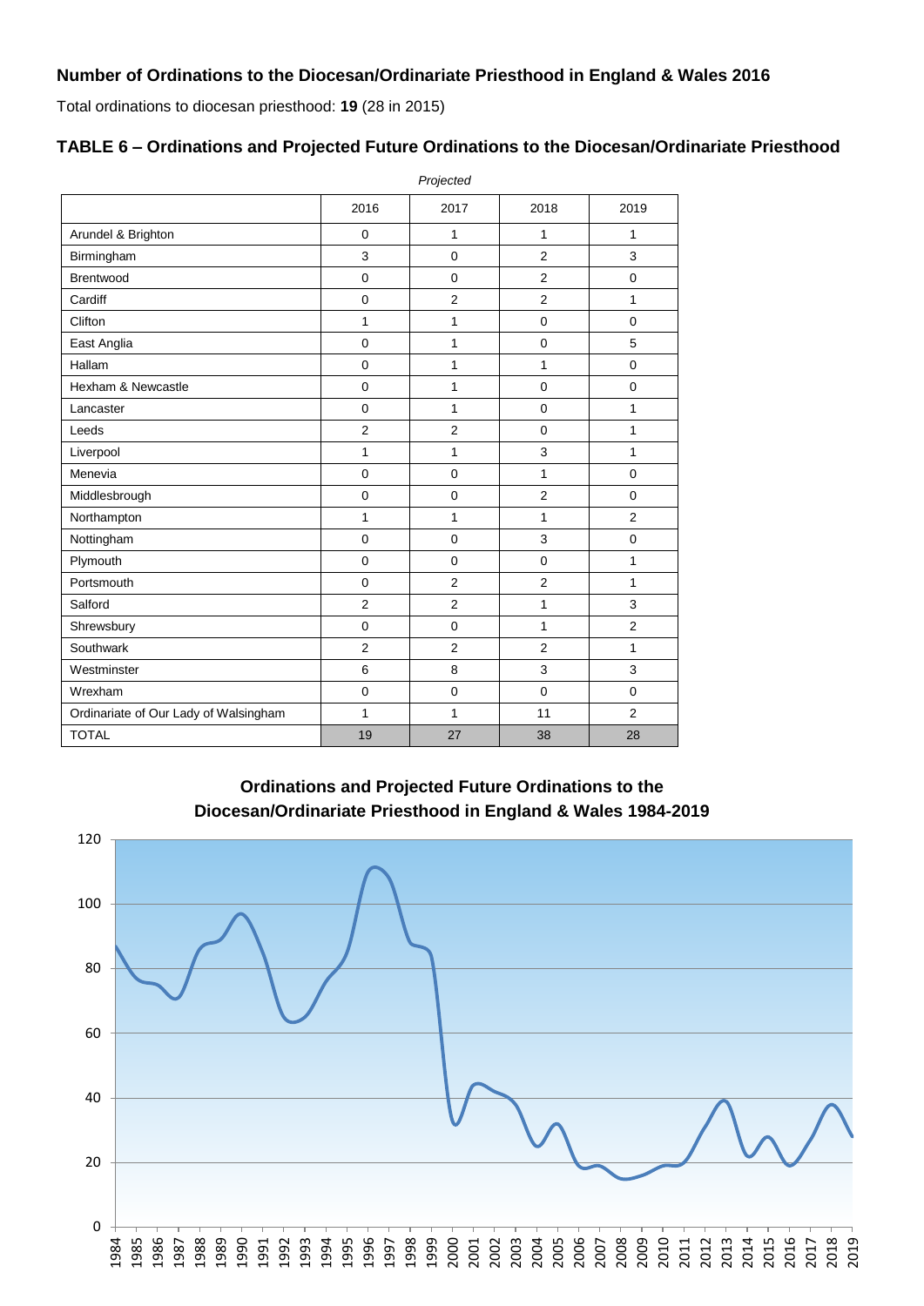Total ordinations to diocesan priesthood: **19** (28 in 2015)

# **TABLE 6 – Ordinations and Projected Future Ordinations to the Diocesan/Ordinariate Priesthood**

|                                       | Projected      |                |                |                |  |  |
|---------------------------------------|----------------|----------------|----------------|----------------|--|--|
|                                       | 2016           | 2017           | 2018           | 2019           |  |  |
| Arundel & Brighton                    | $\mathbf 0$    | $\mathbf{1}$   | 1              | 1              |  |  |
| Birmingham                            | 3              | $\mathbf 0$    | $\overline{2}$ | 3              |  |  |
| Brentwood                             | $\mathbf 0$    | $\mathbf 0$    | $\overline{2}$ | $\mathbf 0$    |  |  |
| Cardiff                               | $\mathbf 0$    | $\overline{2}$ | 2              | 1              |  |  |
| Clifton                               | 1              | $\mathbf{1}$   | $\mathbf 0$    | $\mathbf 0$    |  |  |
| East Anglia                           | $\mathbf 0$    | $\mathbf{1}$   | $\mathbf 0$    | 5              |  |  |
| Hallam                                | $\mathbf 0$    | $\mathbf{1}$   | 1              | $\Omega$       |  |  |
| Hexham & Newcastle                    | $\mathbf 0$    | $\mathbf{1}$   | $\mathbf 0$    | $\mathbf 0$    |  |  |
| Lancaster                             | $\mathbf 0$    | $\mathbf{1}$   | $\mathbf 0$    | 1              |  |  |
| Leeds                                 | $\overline{2}$ | $\overline{2}$ | $\mathbf 0$    | $\mathbf{1}$   |  |  |
| Liverpool                             | $\mathbf{1}$   | $\mathbf{1}$   | 3              | $\mathbf{1}$   |  |  |
| Menevia                               | $\mathbf 0$    | $\mathbf 0$    | 1              | $\Omega$       |  |  |
| Middlesbrough                         | $\mathbf 0$    | $\mathbf 0$    | $\overline{2}$ | $\Omega$       |  |  |
| Northampton                           | 1              | $\mathbf{1}$   | 1              | $\overline{2}$ |  |  |
| Nottingham                            | $\mathbf 0$    | $\mathbf 0$    | 3              | $\mathbf 0$    |  |  |
| Plymouth                              | $\mathbf 0$    | $\mathbf 0$    | $\mathbf 0$    | $\mathbf{1}$   |  |  |
| Portsmouth                            | 0              | $\overline{2}$ | $\overline{2}$ | 1              |  |  |
| Salford                               | $\overline{2}$ | $\overline{2}$ | 1              | 3              |  |  |
| Shrewsbury                            | $\mathbf 0$    | $\mathbf 0$    | 1              | 2              |  |  |
| Southwark                             | $\overline{2}$ | $\overline{2}$ | $\overline{2}$ | 1              |  |  |
| Westminster                           | 6              | 8              | 3              | 3              |  |  |
| Wrexham                               | $\mathbf 0$    | $\mathbf 0$    | $\mathbf 0$    | $\Omega$       |  |  |
| Ordinariate of Our Lady of Walsingham | 1              | 1              | 11             | $\overline{2}$ |  |  |
| <b>TOTAL</b>                          | 19             | 27             | 38             | 28             |  |  |

**Ordinations and Projected Future Ordinations to the Diocesan/Ordinariate Priesthood in England & Wales 1984-2019**